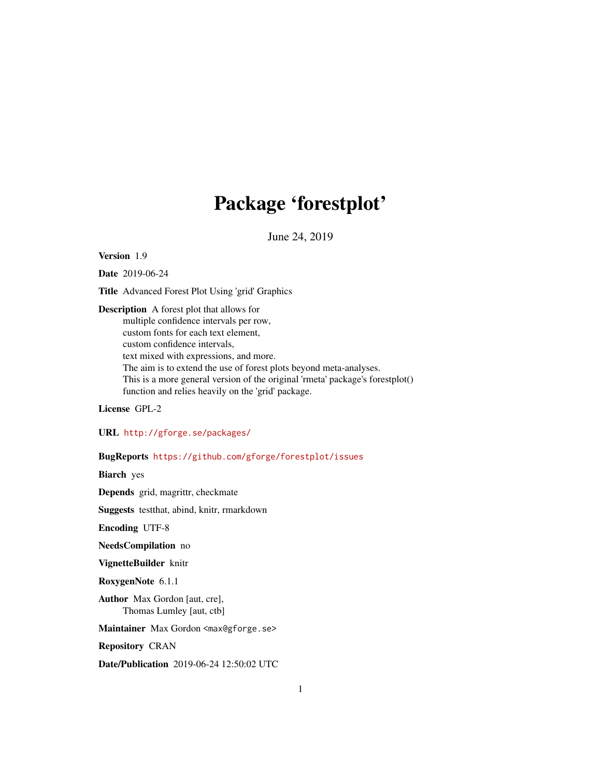# Package 'forestplot'

June 24, 2019

<span id="page-0-0"></span>Version 1.9

Date 2019-06-24

Title Advanced Forest Plot Using 'grid' Graphics

Description A forest plot that allows for multiple confidence intervals per row, custom fonts for each text element, custom confidence intervals, text mixed with expressions, and more. The aim is to extend the use of forest plots beyond meta-analyses. This is a more general version of the original 'rmeta' package's forestplot() function and relies heavily on the 'grid' package.

License GPL-2

URL <http://gforge.se/packages/>

BugReports <https://github.com/gforge/forestplot/issues>

Biarch yes

Depends grid, magrittr, checkmate

Suggests testthat, abind, knitr, rmarkdown

Encoding UTF-8

NeedsCompilation no

VignetteBuilder knitr

RoxygenNote 6.1.1

Author Max Gordon [aut, cre], Thomas Lumley [aut, ctb]

Maintainer Max Gordon <max@gforge.se>

Repository CRAN

Date/Publication 2019-06-24 12:50:02 UTC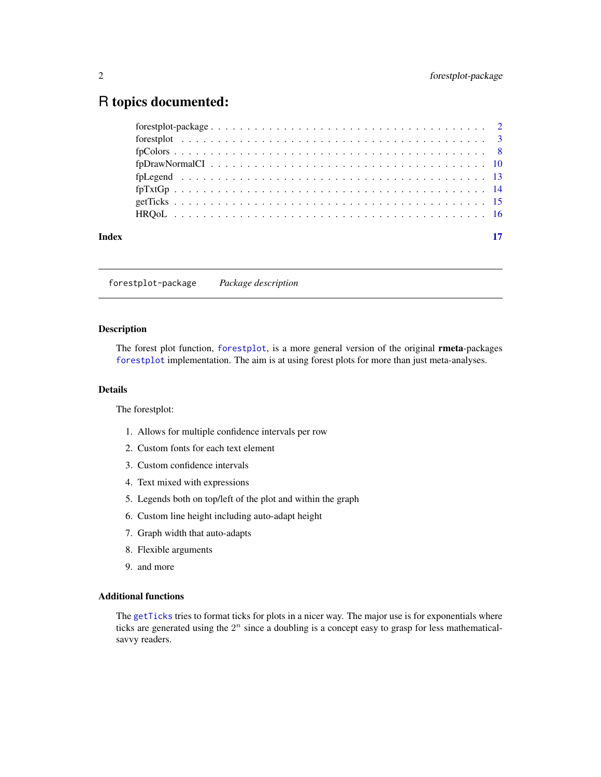# <span id="page-1-0"></span>R topics documented:

| $fpTxtGp$ 14 |
|--------------|

forestplot-package *Package description*

# Description

The forest plot function, [forestplot](#page-2-1), is a more general version of the original rmeta-packages [forestplot](#page-2-1) implementation. The aim is at using forest plots for more than just meta-analyses.

# Details

The forestplot:

- 1. Allows for multiple confidence intervals per row
- 2. Custom fonts for each text element
- 3. Custom confidence intervals
- 4. Text mixed with expressions
- 5. Legends both on top/left of the plot and within the graph
- 6. Custom line height including auto-adapt height
- 7. Graph width that auto-adapts
- 8. Flexible arguments
- 9. and more

# Additional functions

The [getTicks](#page-14-1) tries to format ticks for plots in a nicer way. The major use is for exponentials where ticks are generated using the  $2^n$  since a doubling is a concept easy to grasp for less mathematicalsavvy readers.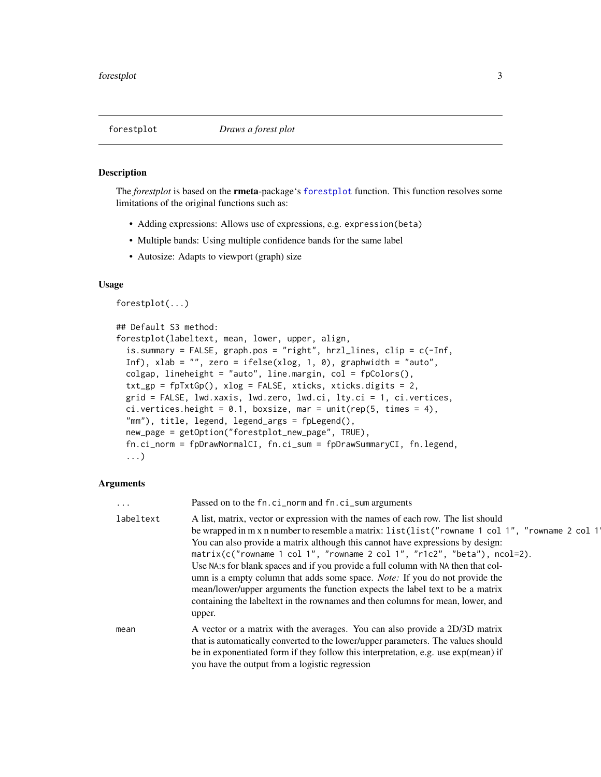<span id="page-2-1"></span><span id="page-2-0"></span>

# **Description**

The *forestplot* is based on the rmeta-package's [forestplot](#page-2-1) function. This function resolves some limitations of the original functions such as:

- Adding expressions: Allows use of expressions, e.g. expression(beta)
- Multiple bands: Using multiple confidence bands for the same label
- Autosize: Adapts to viewport (graph) size

# Usage

forestplot(...)

```
## Default S3 method:
forestplot(labeltext, mean, lower, upper, align,
  is.summary = FALSE, graph.pos = "right", hrzl_lines, clip = c(-Inf,
  Inf), xlab = ", zero = ifelse(xlog, 1, 0), graphwidth = "auto",
 colgap, lineheight = "auto", line.margin, col = fpColors(),
  txt_sp = fpTxtGp(), xlog = FALSE, xticks, xticks.digits = 2,grid = FALSE, lwd.xaxis, lwd.zero, lwd.ci, lty.ci = 1, ci.vertices,
 ci.vertices.height = 0.1, boxsize, mar = unit(rep(5, times = 4),
  "mm"), title, legend, legend_args = fpLegend(),
  new_page = getOption("forestplot_new_page", TRUE),
  fn.ci_norm = fpDrawNormalCI, fn.ci_sum = fpDrawSummaryCI, fn.legend,
  ...)
```
# Arguments

| $\ddotsc$ | Passed on to the fn.ci_norm and fn.ci_sum arguments                                                                                                                                                                                                                                                                                                                                                                                                                                                                                                                                                                                                                                                      |
|-----------|----------------------------------------------------------------------------------------------------------------------------------------------------------------------------------------------------------------------------------------------------------------------------------------------------------------------------------------------------------------------------------------------------------------------------------------------------------------------------------------------------------------------------------------------------------------------------------------------------------------------------------------------------------------------------------------------------------|
| labeltext | A list, matrix, vector or expression with the names of each row. The list should<br>be wrapped in m x n number to resemble a matrix: list(list("rowname 1 col 1", "rowname 2 col 1<br>You can also provide a matrix although this cannot have expressions by design:<br>matrix(c("rowname 1 col 1", "rowname 2 col 1", "r1c2", "beta"), ncol=2).<br>Use NA:s for blank spaces and if you provide a full column with NA then that col-<br>umn is a empty column that adds some space. <i>Note:</i> If you do not provide the<br>mean/lower/upper arguments the function expects the label text to be a matrix<br>containing the labeltext in the rownames and then columns for mean, lower, and<br>upper. |
| mean      | A vector or a matrix with the averages. You can also provide a 2D/3D matrix<br>that is automatically converted to the lower/upper parameters. The values should<br>be in exponentiated form if they follow this interpretation, e.g. use exp(mean) if<br>you have the output from a logistic regression                                                                                                                                                                                                                                                                                                                                                                                                  |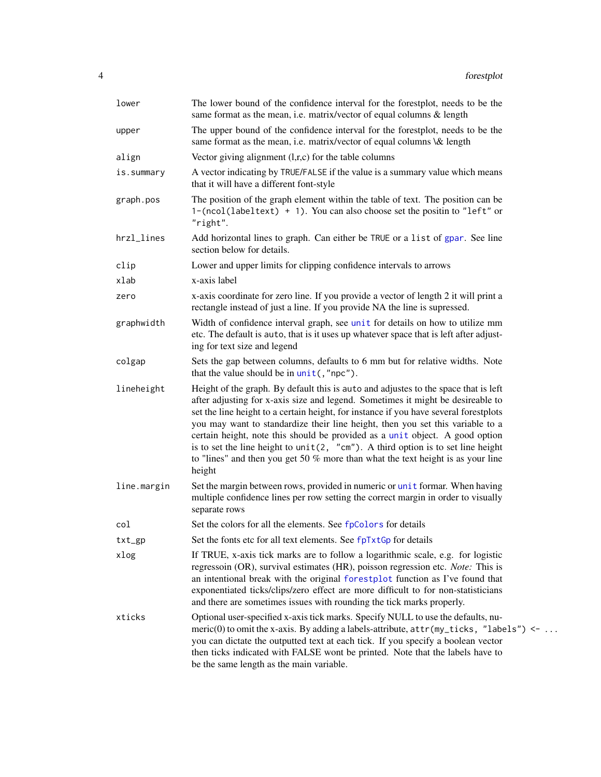<span id="page-3-0"></span>

| lower       | The lower bound of the confidence interval for the forestplot, needs to be the<br>same format as the mean, i.e. matrix/vector of equal columns & length                                                                                                                                                                                                                                                                                                                                                                                                                                                                |
|-------------|------------------------------------------------------------------------------------------------------------------------------------------------------------------------------------------------------------------------------------------------------------------------------------------------------------------------------------------------------------------------------------------------------------------------------------------------------------------------------------------------------------------------------------------------------------------------------------------------------------------------|
| upper       | The upper bound of the confidence interval for the forestplot, needs to be the<br>same format as the mean, i.e. matrix/vector of equal columns \& length                                                                                                                                                                                                                                                                                                                                                                                                                                                               |
| align       | Vector giving alignment $(l,r,c)$ for the table columns                                                                                                                                                                                                                                                                                                                                                                                                                                                                                                                                                                |
| is.summary  | A vector indicating by TRUE/FALSE if the value is a summary value which means<br>that it will have a different font-style                                                                                                                                                                                                                                                                                                                                                                                                                                                                                              |
| graph.pos   | The position of the graph element within the table of text. The position can be<br>1-(ncol(labeltext) + 1). You can also choose set the positin to "left" or<br>"right".                                                                                                                                                                                                                                                                                                                                                                                                                                               |
| hrzl_lines  | Add horizontal lines to graph. Can either be TRUE or a list of gpar. See line<br>section below for details.                                                                                                                                                                                                                                                                                                                                                                                                                                                                                                            |
| clip        | Lower and upper limits for clipping confidence intervals to arrows                                                                                                                                                                                                                                                                                                                                                                                                                                                                                                                                                     |
| xlab        | x-axis label                                                                                                                                                                                                                                                                                                                                                                                                                                                                                                                                                                                                           |
| zero        | x-axis coordinate for zero line. If you provide a vector of length 2 it will print a<br>rectangle instead of just a line. If you provide NA the line is supressed.                                                                                                                                                                                                                                                                                                                                                                                                                                                     |
| graphwidth  | Width of confidence interval graph, see unit for details on how to utilize mm<br>etc. The default is auto, that is it uses up whatever space that is left after adjust-<br>ing for text size and legend                                                                                                                                                                                                                                                                                                                                                                                                                |
| colgap      | Sets the gap between columns, defaults to 6 mm but for relative widths. Note<br>that the value should be in $unit($ , "npc").                                                                                                                                                                                                                                                                                                                                                                                                                                                                                          |
| lineheight  | Height of the graph. By default this is auto and adjustes to the space that is left<br>after adjusting for x-axis size and legend. Sometimes it might be desireable to<br>set the line height to a certain height, for instance if you have several forestplots<br>you may want to standardize their line height, then you set this variable to a<br>certain height, note this should be provided as a unit object. A good option<br>is to set the line height to $unit(2, "cm").$ A third option is to set line height<br>to "lines" and then you get 50 $%$ more than what the text height is as your line<br>height |
| line.margin | Set the margin between rows, provided in numeric or unit formar. When having<br>multiple confidence lines per row setting the correct margin in order to visually<br>separate rows                                                                                                                                                                                                                                                                                                                                                                                                                                     |
| col         | Set the colors for all the elements. See fpColors for details                                                                                                                                                                                                                                                                                                                                                                                                                                                                                                                                                          |
| $txt_sp$    | Set the fonts etc for all text elements. See fpTxtGp for details                                                                                                                                                                                                                                                                                                                                                                                                                                                                                                                                                       |
| xlog        | If TRUE, x-axis tick marks are to follow a logarithmic scale, e.g. for logistic<br>regressoin (OR), survival estimates (HR), poisson regression etc. Note: This is<br>an intentional break with the original forestplot function as I've found that<br>exponentiated ticks/clips/zero effect are more difficult to for non-statisticians<br>and there are sometimes issues with rounding the tick marks properly.                                                                                                                                                                                                      |
| xticks      | Optional user-specified x-axis tick marks. Specify NULL to use the defaults, nu-<br>meric(0) to omit the x-axis. By adding a labels-attribute, $attr(my_ticks, "labels") \leftarrow \dots$<br>you can dictate the outputted text at each tick. If you specify a boolean vector<br>then ticks indicated with FALSE wont be printed. Note that the labels have to<br>be the same length as the main variable.                                                                                                                                                                                                            |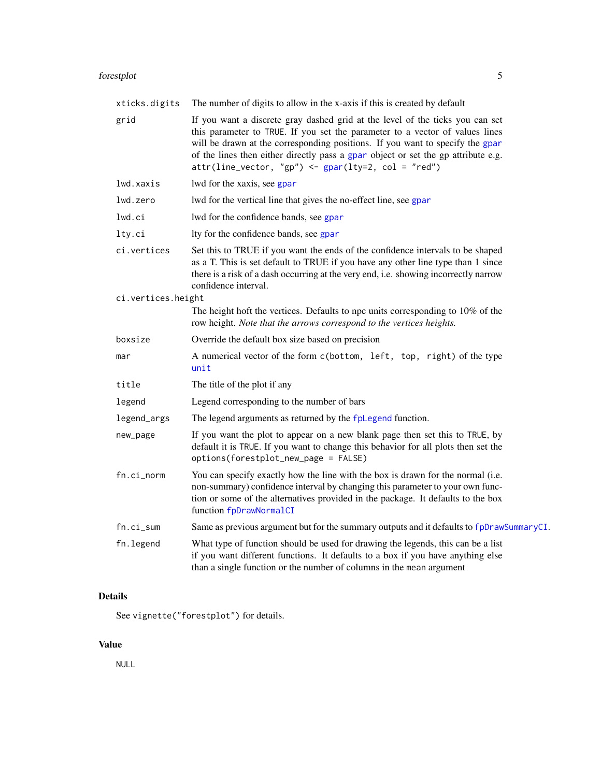# <span id="page-4-0"></span>forestplot 5

| xticks.digits      | The number of digits to allow in the x-axis if this is created by default                                                                                                                                                                                                                                                                                                                            |
|--------------------|------------------------------------------------------------------------------------------------------------------------------------------------------------------------------------------------------------------------------------------------------------------------------------------------------------------------------------------------------------------------------------------------------|
| grid               | If you want a discrete gray dashed grid at the level of the ticks you can set<br>this parameter to TRUE. If you set the parameter to a vector of values lines<br>will be drawn at the corresponding positions. If you want to specify the gpar<br>of the lines then either directly pass a gpar object or set the gp attribute e.g.<br>$attr(line\_vector, "gp") \leftarrow gap([ty=2, col = "red")$ |
| lwd.xaxis          | lwd for the xaxis, see gpar                                                                                                                                                                                                                                                                                                                                                                          |
| lwd.zero           | lwd for the vertical line that gives the no-effect line, see gpar                                                                                                                                                                                                                                                                                                                                    |
| lwd.ci             | lwd for the confidence bands, see gpar                                                                                                                                                                                                                                                                                                                                                               |
| lty.ci             | Ity for the confidence bands, see gpar                                                                                                                                                                                                                                                                                                                                                               |
| ci.vertices        | Set this to TRUE if you want the ends of the confidence intervals to be shaped<br>as a T. This is set default to TRUE if you have any other line type than 1 since<br>there is a risk of a dash occurring at the very end, i.e. showing incorrectly narrow<br>confidence interval.                                                                                                                   |
| ci.vertices.height |                                                                                                                                                                                                                                                                                                                                                                                                      |
|                    | The height hoft the vertices. Defaults to npc units corresponding to $10\%$ of the<br>row height. Note that the arrows correspond to the vertices heights.                                                                                                                                                                                                                                           |
| boxsize            | Override the default box size based on precision                                                                                                                                                                                                                                                                                                                                                     |
| mar                | A numerical vector of the form c(bottom, left, top, right) of the type<br>unit                                                                                                                                                                                                                                                                                                                       |
| title              | The title of the plot if any                                                                                                                                                                                                                                                                                                                                                                         |
| legend             | Legend corresponding to the number of bars                                                                                                                                                                                                                                                                                                                                                           |
| legend_args        | The legend arguments as returned by the fpless function.                                                                                                                                                                                                                                                                                                                                             |
| new_page           | If you want the plot to appear on a new blank page then set this to TRUE, by<br>default it is TRUE. If you want to change this behavior for all plots then set the<br>options(forestplot_new_page = FALSE)                                                                                                                                                                                           |
| fn.ci_norm         | You can specify exactly how the line with the box is drawn for the normal (i.e.<br>non-summary) confidence interval by changing this parameter to your own func-<br>tion or some of the alternatives provided in the package. It defaults to the box<br>function fpDrawNormalCI                                                                                                                      |
| fn.ci_sum          | Same as previous argument but for the summary outputs and it defaults to fpDrawSummaryCI.                                                                                                                                                                                                                                                                                                            |
| fn.legend          | What type of function should be used for drawing the legends, this can be a list<br>if you want different functions. It defaults to a box if you have anything else<br>than a single function or the number of columns in the mean argument                                                                                                                                                          |

# Details

See vignette("forestplot") for details.

# Value

NULL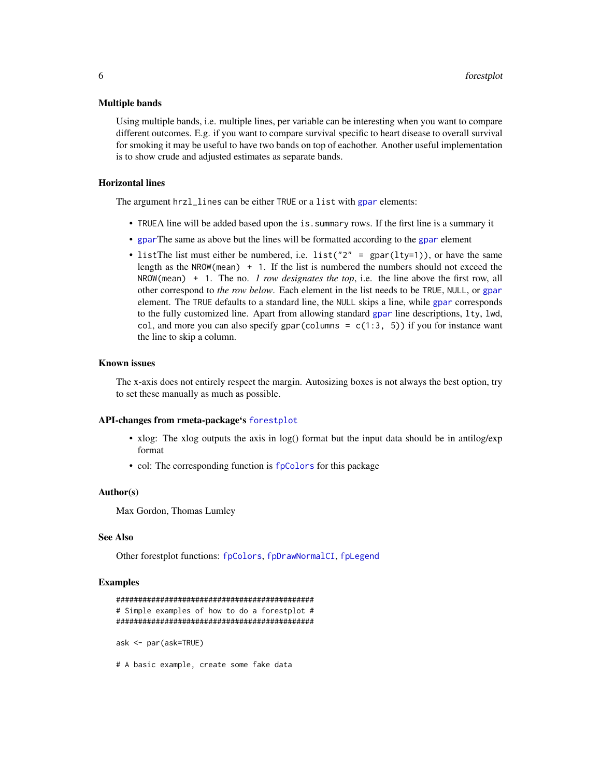# <span id="page-5-0"></span>Multiple bands

Using multiple bands, i.e. multiple lines, per variable can be interesting when you want to compare different outcomes. E.g. if you want to compare survival specific to heart disease to overall survival for smoking it may be useful to have two bands on top of eachother. Another useful implementation is to show crude and adjusted estimates as separate bands.

# Horizontal lines

The argument hrzl\_lines can be either TRUE or a list with [gpar](#page-0-0) elements:

- TRUEA line will be added based upon the is.summary rows. If the first line is a summary it
- [gpar](#page-0-0)The same as above but the lines will be formatted according to the [gpar](#page-0-0) element
- listThe list must either be numbered, i.e. list("2" =  $gpar(lty=1)$ ), or have the same length as the NROW(mean)  $+ 1$ . If the list is numbered the numbers should not exceed the NROW(mean) + 1. The no. *1 row designates the top*, i.e. the line above the first row, all other correspond to *the row below*. Each element in the list needs to be TRUE, NULL, or [gpar](#page-0-0) element. The TRUE defaults to a standard line, the NULL skips a line, while [gpar](#page-0-0) corresponds to the fully customized line. Apart from allowing standard [gpar](#page-0-0) line descriptions, lty, lwd, col, and more you can also specify gpar(columns =  $c(1:3, 5)$ ) if you for instance want the line to skip a column.

# Known issues

The x-axis does not entirely respect the margin. Autosizing boxes is not always the best option, try to set these manually as much as possible.

# API-changes from rmeta-package's [forestplot](#page-2-1)

- xlog: The xlog outputs the axis in log() format but the input data should be in antilog/exp format
- col: The corresponding function is [fpColors](#page-7-1) for this package

# Author(s)

Max Gordon, Thomas Lumley

### See Also

Other forestplot functions: [fpColors](#page-7-1), [fpDrawNormalCI](#page-9-1), [fpLegend](#page-12-1)

# Examples

```
#############################################
# Simple examples of how to do a forestplot #
#############################################
ask <- par(ask=TRUE)
```
# A basic example, create some fake data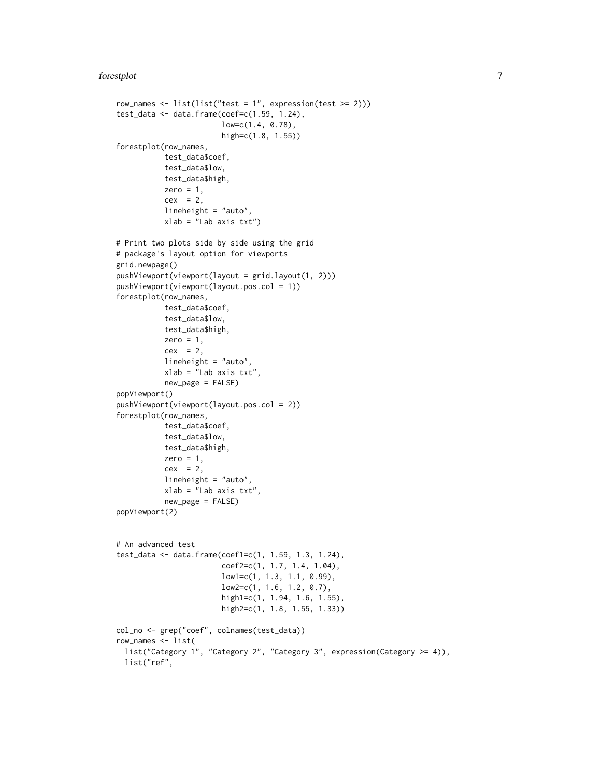```
row_names <- list(list("test = 1", expression(test >= 2)))
test_data <- data.frame(coef=c(1.59, 1.24),
                        low=c(1.4, 0.78),
                        high=c(1.8, 1.55))
forestplot(row_names,
           test_data$coef,
           test_data$low,
           test_data$high,
           zero = 1,
           cex = 2,
           lineheight = "auto",
           xlab = "Lab axis txt")
# Print two plots side by side using the grid
# package's layout option for viewports
grid.newpage()
pushViewport(viewport(layout = grid.layout(1, 2)))
pushViewport(viewport(layout.pos.col = 1))
forestplot(row_names,
           test_data$coef,
           test_data$low,
           test_data$high,
          zero = 1,
           cex = 2,
           lineheight = "auto",
           xlab = "Lab axis txt",
          new_page = FALSE)
popViewport()
pushViewport(viewport(layout.pos.col = 2))
forestplot(row_names,
          test_data$coef,
           test_data$low,
           test_data$high,
           zero = 1,
           cex = 2,
           lineheight = "auto",
          xlab = "Lab axis txt",
           new_page = FALSE)
popViewport(2)
# An advanced test
test_data <- data.frame(coef1=c(1, 1.59, 1.3, 1.24),
                        coef2=c(1, 1.7, 1.4, 1.04),
                        low1=c(1, 1.3, 1.1, 0.99),
                        low2=c(1, 1.6, 1.2, 0.7),
                        high1=c(1, 1.94, 1.6, 1.55),
                        high2=c(1, 1.8, 1.55, 1.33))
col_no <- grep("coef", colnames(test_data))
row_names <- list(
 list("Category 1", "Category 2", "Category 3", expression(Category >= 4)),
 list("ref",
```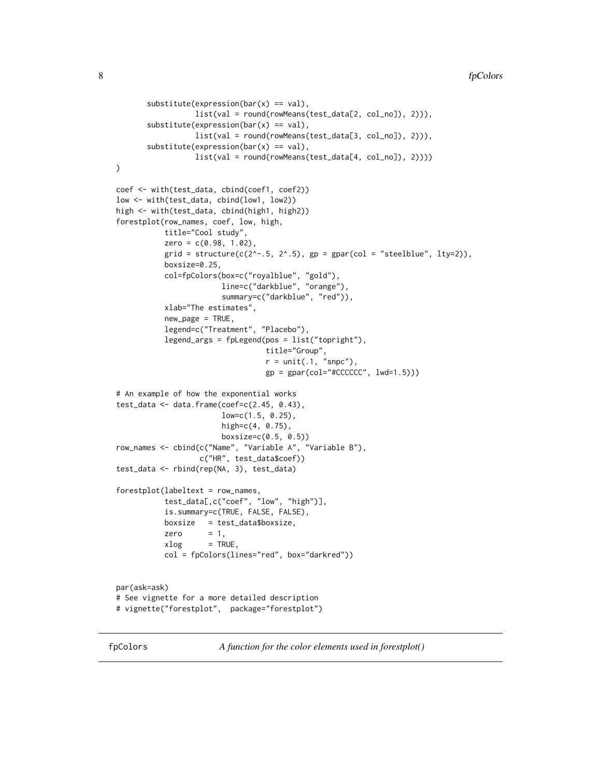```
substitute(expression(bar(x) == val),list(val = round(rowMeans(test_data[2, col_no]), 2))),
       substitute(expression(bar(x) == val),list(val = round(rowMeans(test_data[3, col_no]), 2))),
       substitute(expression(bar(x) == val),list(val = round(rowMeans(test_data[4, col_no]), 2))))
)
coef <- with(test_data, cbind(coef1, coef2))
low <- with(test_data, cbind(low1, low2))
high <- with(test_data, cbind(high1, high2))
forestplot(row_names, coef, low, high,
           title="Cool study",
           zero = c(0.98, 1.02),
           grid = structure(c(2^x-.5, 2^x.5), gp = gpar(col = "steelblue", lty=2)),boxsize=0.25,
           col=fpColors(box=c("royalblue", "gold"),
                        line=c("darkblue", "orange"),
                        summary=c("darkblue", "red")),
           xlab="The estimates",
           new_page = TRUE,
           legend=c("Treatment", "Placebo"),
           legend_args = fpLegend(pos = list("topright"),
                                  title="Group",
                                  r = unit(.1, "snpc"),
                                  gp = gpar(col="+CCCCCC", lwd=1.5)))# An example of how the exponential works
test_data <- data.frame(coef=c(2.45, 0.43),
                        low=c(1.5, 0.25),
                        high=c(4, 0.75),
                        boxsize=c(0.5, 0.5))
row_names <- cbind(c("Name", "Variable A", "Variable B"),
                   c("HR", test_data$coef))
test_data <- rbind(rep(NA, 3), test_data)
forestplot(labeltext = row_names,
           test_data[,c("coef", "low", "high")],
           is.summary=c(TRUE, FALSE, FALSE),
           boxsize = test_data$boxsize,
           zero = 1,
           xlog = TRUE,
           col = fpColors(lines="red", box="darkred"))
par(ask=ask)
# See vignette for a more detailed description
# vignette("forestplot", package="forestplot")
```
<span id="page-7-1"></span>fpColors *A function for the color elements used in forestplot()*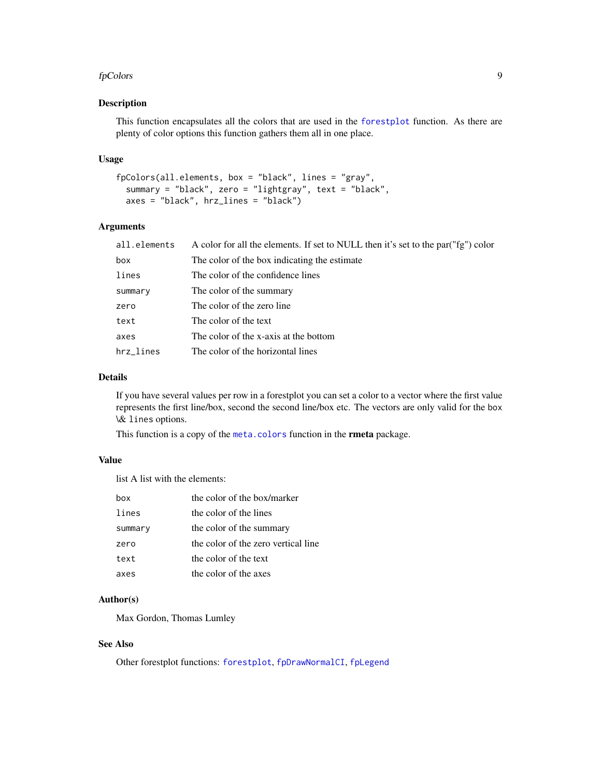#### <span id="page-8-0"></span>fpColors **9**

# Description

This function encapsulates all the colors that are used in the [forestplot](#page-2-1) function. As there are plenty of color options this function gathers them all in one place.

# Usage

```
fpColors(all.elements, box = "black", lines = "gray",
  summary = "black", zero = "lightgray", text = "black",
 axes = "black", hrz_lines = "black")
```
# Arguments

| all.elements | A color for all the elements. If set to NULL then it's set to the par("fg") color |
|--------------|-----------------------------------------------------------------------------------|
| box          | The color of the box indicating the estimate                                      |
| lines        | The color of the confidence lines                                                 |
| summary      | The color of the summary                                                          |
| zero         | The color of the zero line                                                        |
| text         | The color of the text                                                             |
| axes         | The color of the x-axis at the bottom                                             |
| hrz lines    | The color of the horizontal lines                                                 |
|              |                                                                                   |

# Details

If you have several values per row in a forestplot you can set a color to a vector where the first value represents the first line/box, second the second line/box etc. The vectors are only valid for the box \& lines options.

This function is a copy of the [meta.colors](#page-0-0) function in the **rmeta** package.

# Value

list A list with the elements:

| hox     | the color of the box/marker         |
|---------|-------------------------------------|
| lines   | the color of the lines              |
| summary | the color of the summary            |
| zero    | the color of the zero vertical line |
| text    | the color of the text               |
| axes    | the color of the axes               |

# Author(s)

Max Gordon, Thomas Lumley

# See Also

Other forestplot functions: [forestplot](#page-2-1), [fpDrawNormalCI](#page-9-1), [fpLegend](#page-12-1)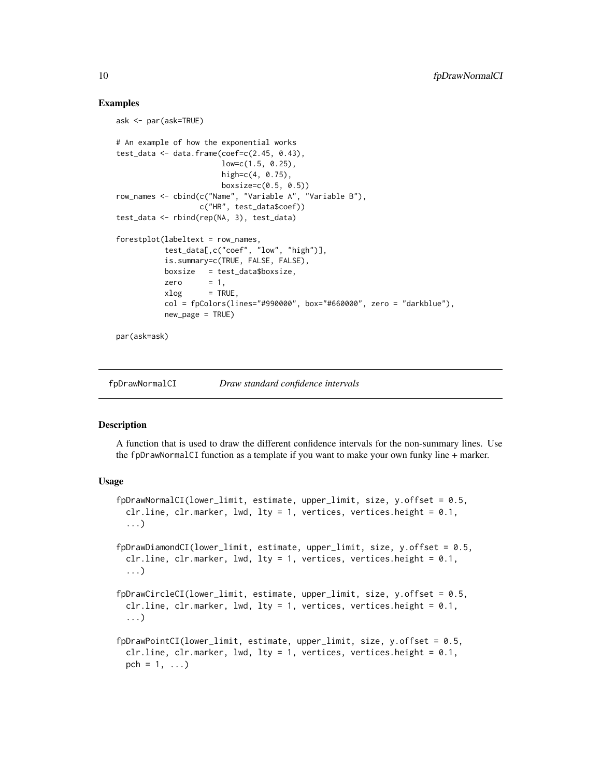# Examples

```
ask <- par(ask=TRUE)
# An example of how the exponential works
test_data <- data.frame(coef=c(2.45, 0.43),
                       low=c(1.5, 0.25),
                       high=c(4, 0.75),
                       boxsize=c(0.5, 0.5))
row_names <- cbind(c("Name", "Variable A", "Variable B"),
                  c("HR", test_data$coef))
test_data <- rbind(rep(NA, 3), test_data)
forestplot(labeltext = row_names,
          test_data[,c("coef", "low", "high")],
          is.summary=c(TRUE, FALSE, FALSE),
          boxsize = test_data$boxsize,
          zero = 1,
          xlog = TRUE,
          col = fpColors(lines="#990000", box="#660000", zero = "darkblue"),
          new_page = TRUE)
```
par(ask=ask)

<span id="page-9-1"></span>fpDrawNormalCI *Draw standard confidence intervals*

# <span id="page-9-2"></span>**Description**

A function that is used to draw the different confidence intervals for the non-summary lines. Use the fpDrawNormalCI function as a template if you want to make your own funky line + marker.

# Usage

```
fpDrawNormalCI(lower_limit, estimate, upper_limit, size, y.offset = 0.5,
 clr.line, clr.marker, lwd, lty = 1, vertices, vertices.height = 0.1,
 ...)
fpDrawDiamondCI(lower_limit, estimate, upper_limit, size, y.offset = 0.5,
 clr.line, clr.marker, lwd, lty = 1, vertices, vertices.height = 0.1,
 ...)
fpDrawCircleCI(lower_limit, estimate, upper_limit, size, y.offset = 0.5,
 clr.line, clr.marker, lwd, ltv = 1, vertices, vertices.height = 0.1,
 ...)
fpDrawPointCI(lower_limit, estimate, upper_limit, size, y.offset = 0.5,
 clr.line, clr.marker, lwd, lty = 1, vertices, vertices.height = 0.1,
 pch = 1, \ldots)
```
<span id="page-9-0"></span>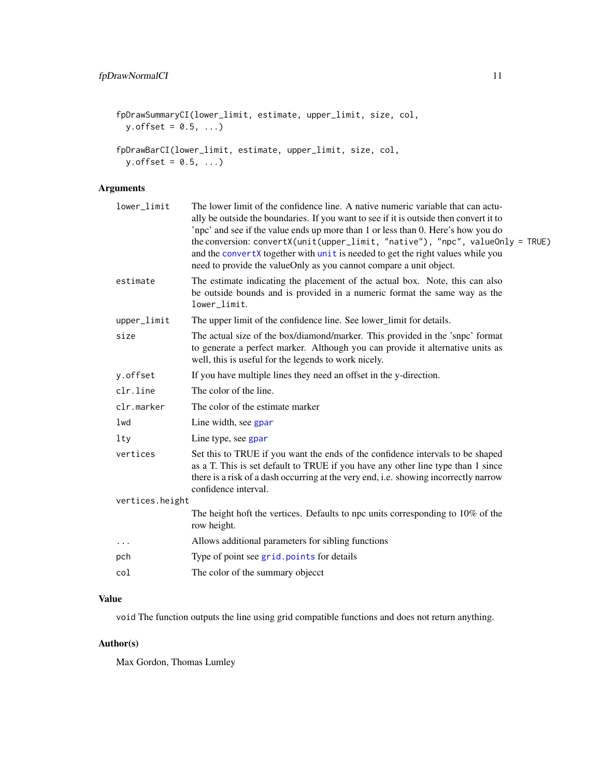```
fpDrawSummaryCI(lower_limit, estimate, upper_limit, size, col,
 y.offset = 0.5, ...)
fpDrawBarCI(lower_limit, estimate, upper_limit, size, col,
 y.offset = 0.5, ...)
```
# Arguments

| lower_limit     | The lower limit of the confidence line. A native numeric variable that can actu-<br>ally be outside the boundaries. If you want to see if it is outside then convert it to<br>'npc' and see if the value ends up more than 1 or less than 0. Here's how you do<br>the conversion: convertX(unit(upper_limit, "native"), "npc", valueOnly = TRUE)<br>and the convertX together with unit is needed to get the right values while you<br>need to provide the valueOnly as you cannot compare a unit object. |
|-----------------|-----------------------------------------------------------------------------------------------------------------------------------------------------------------------------------------------------------------------------------------------------------------------------------------------------------------------------------------------------------------------------------------------------------------------------------------------------------------------------------------------------------|
| estimate        | The estimate indicating the placement of the actual box. Note, this can also<br>be outside bounds and is provided in a numeric format the same way as the<br>lower_limit.                                                                                                                                                                                                                                                                                                                                 |
| upper_limit     | The upper limit of the confidence line. See lower_limit for details.                                                                                                                                                                                                                                                                                                                                                                                                                                      |
| size            | The actual size of the box/diamond/marker. This provided in the 'snpc' format<br>to generate a perfect marker. Although you can provide it alternative units as<br>well, this is useful for the legends to work nicely.                                                                                                                                                                                                                                                                                   |
| y.offset        | If you have multiple lines they need an offset in the y-direction.                                                                                                                                                                                                                                                                                                                                                                                                                                        |
| clr.line        | The color of the line.                                                                                                                                                                                                                                                                                                                                                                                                                                                                                    |
| clr.marker      | The color of the estimate marker                                                                                                                                                                                                                                                                                                                                                                                                                                                                          |
| lwd             | Line width, see gpar                                                                                                                                                                                                                                                                                                                                                                                                                                                                                      |
| $1$ ty          | Line type, see gpar                                                                                                                                                                                                                                                                                                                                                                                                                                                                                       |
| vertices        | Set this to TRUE if you want the ends of the confidence intervals to be shaped<br>as a T. This is set default to TRUE if you have any other line type than 1 since<br>there is a risk of a dash occurring at the very end, i.e. showing incorrectly narrow<br>confidence interval.                                                                                                                                                                                                                        |
| vertices.height |                                                                                                                                                                                                                                                                                                                                                                                                                                                                                                           |
|                 | The height hoft the vertices. Defaults to npc units corresponding to 10% of the<br>row height.                                                                                                                                                                                                                                                                                                                                                                                                            |
| $\cdots$        | Allows additional parameters for sibling functions                                                                                                                                                                                                                                                                                                                                                                                                                                                        |
| pch             | Type of point see grid. points for details                                                                                                                                                                                                                                                                                                                                                                                                                                                                |
| col             | The color of the summary objecct                                                                                                                                                                                                                                                                                                                                                                                                                                                                          |
|                 |                                                                                                                                                                                                                                                                                                                                                                                                                                                                                                           |

# Value

void The function outputs the line using grid compatible functions and does not return anything.

# Author(s)

Max Gordon, Thomas Lumley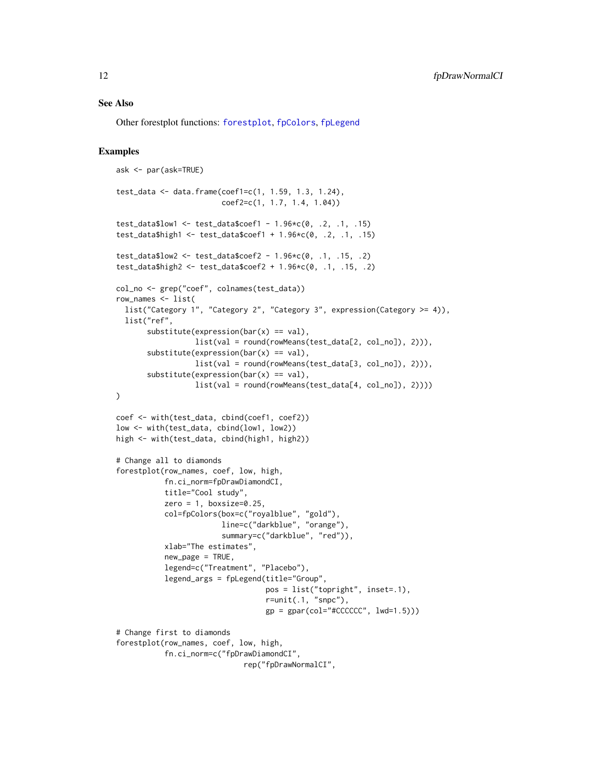### <span id="page-11-0"></span>See Also

Other forestplot functions: [forestplot](#page-2-1), [fpColors](#page-7-1), [fpLegend](#page-12-1)

# Examples

```
ask <- par(ask=TRUE)
test_data <- data.frame(coef1=c(1, 1.59, 1.3, 1.24),
                        coef2=c(1, 1.7, 1.4, 1.04))
test_data$low1 <- test_data$coef1 - 1.96*c(0, .2, .1, .15)
test_data$high1 <- test_data$coef1 + 1.96*c(0, .2, .1, .15)
test_data$low2 <- test_data$coef2 - 1.96*c(0, .1, .15, .2)
test_data$high2 <- test_data$coef2 + 1.96*c(0, .1, .15, .2)
col_no <- grep("coef", colnames(test_data))
row_names <- list(
  list("Category 1", "Category 2", "Category 3", expression(Category >= 4)),
  list("ref",
       substitute(expression(bar(x) == val),list(val = round(rowMeans(test_data[2, col_no]), 2))),
       substitute(expression(bar(x) == val),list(val = round(rowMeans(test_data[3, col_no]), 2))),
       substitute(expression(bar(x) == val),list(val = round(rowMeans(test_data[4, col_no]), 2))))
)
coef <- with(test_data, cbind(coef1, coef2))
low <- with(test_data, cbind(low1, low2))
high <- with(test_data, cbind(high1, high2))
# Change all to diamonds
forestplot(row_names, coef, low, high,
           fn.ci_norm=fpDrawDiamondCI,
           title="Cool study",
           zero = 1, boxsize=0.25,
           col=fpColors(box=c("royalblue", "gold"),
                        line=c("darkblue", "orange"),
                        summary=c("darkblue", "red")),
           xlab="The estimates",
           new_page = TRUE,
           legend=c("Treatment", "Placebo"),
           legend_args = fpLegend(title="Group",
                                  pos = list("topright", inset=.1),
                                  r=unit(.1, "snpc"),
                                  gp = gpar(col="CCCCC" , lwd=1.5)))# Change first to diamonds
forestplot(row_names, coef, low, high,
           fn.ci_norm=c("fpDrawDiamondCI",
                             rep("fpDrawNormalCI",
```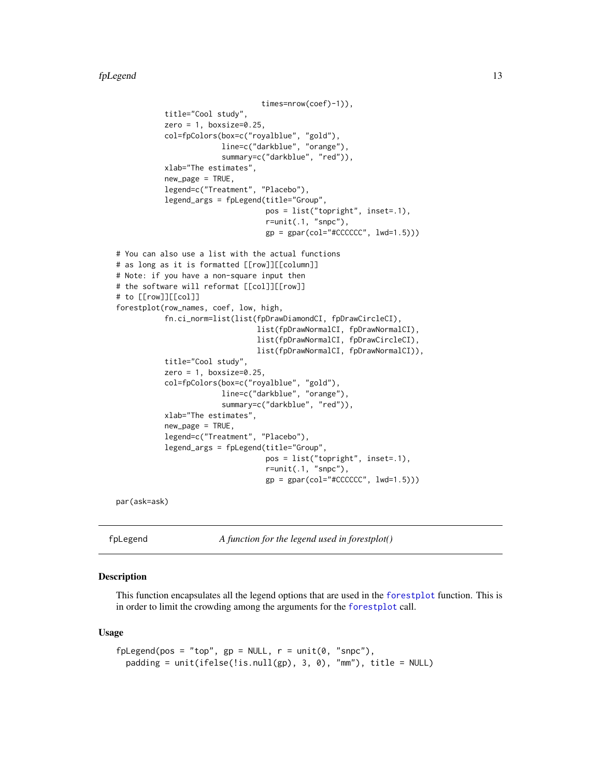```
times=nrow(coef)-1)),
           title="Cool study",
           zero = 1, boxsize=0.25,
           col=fpColors(box=c("royalblue", "gold"),
                        line=c("darkblue", "orange"),
                        summary=c("darkblue", "red")),
           xlab="The estimates",
           new_page = TRUE,
           legend=c("Treatment", "Placebo"),
           legend_args = fpLegend(title="Group",
                                  pos = list("topright", inset=.1),
                                  r=unit(.1, "snpc"),
                                  gp = gpar(col="CCCCC" , 1wd=1.5)))# You can also use a list with the actual functions
# as long as it is formatted [[row]][[column]]
# Note: if you have a non-square input then
# the software will reformat [[col]][[row]]
# to [[row]][[col]]
forestplot(row_names, coef, low, high,
           fn.ci_norm=list(list(fpDrawDiamondCI, fpDrawCircleCI),
                                list(fpDrawNormalCI, fpDrawNormalCI),
                                list(fpDrawNormalCI, fpDrawCircleCI),
                                list(fpDrawNormalCI, fpDrawNormalCI)),
           title="Cool study",
           zero = 1, boxsize=0.25,
           col=fpColors(box=c("royalblue", "gold"),
                        line=c("darkblue", "orange"),
                        summary=c("darkblue", "red")),
           xlab="The estimates",
           new_page = TRUE,
           legend=c("Treatment", "Placebo"),
           legend_args = fpLegend(title="Group",
                                  pos = list("topright", inset=.1),
                                  r=unit(.1, "snpc"),
                                  gp = gpar(col="CCCCCC", lwd=1.5)))
```
par(ask=ask)

<span id="page-12-1"></span>fpLegend *A function for the legend used in forestplot()*

# Description

This function encapsulates all the legend options that are used in the [forestplot](#page-2-1) function. This is in order to limit the crowding among the arguments for the [forestplot](#page-2-1) call.

# Usage

```
fplegend(pos = "top", gp = NULL, r = unit(0, "snpc"),padding = unit(ifelse(!is.null(gp), 3, 0), "mm"), title = NULL)
```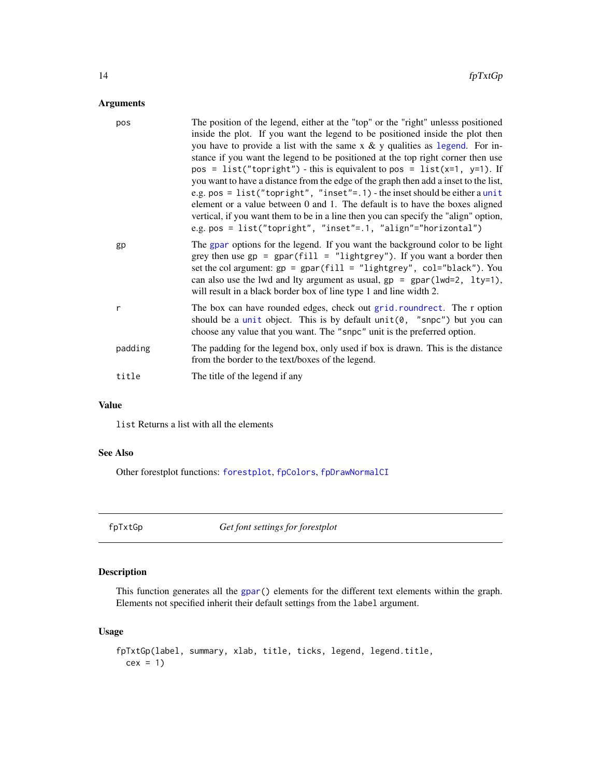# <span id="page-13-0"></span>Arguments

| pos     | The position of the legend, either at the "top" or the "right" unlesss positioned<br>inside the plot. If you want the legend to be positioned inside the plot then<br>you have to provide a list with the same $x \& y$ qualities as legend. For in-<br>stance if you want the legend to be positioned at the top right corner then use<br>pos = list("topright") - this is equivalent to pos = list(x=1, y=1). If<br>you want to have a distance from the edge of the graph then add a inset to the list,<br>e.g. pos = list("topright", "inset"=.1) - the inset should be either a unit<br>element or a value between 0 and 1. The default is to have the boxes aligned<br>vertical, if you want them to be in a line then you can specify the "align" option,<br>e.g. pos = list("topright", "inset"=.1, "align"="horizontal") |
|---------|-----------------------------------------------------------------------------------------------------------------------------------------------------------------------------------------------------------------------------------------------------------------------------------------------------------------------------------------------------------------------------------------------------------------------------------------------------------------------------------------------------------------------------------------------------------------------------------------------------------------------------------------------------------------------------------------------------------------------------------------------------------------------------------------------------------------------------------|
| gp      | The gpar options for the legend. If you want the background color to be light<br>grey then use $gp = gpar(fill = "lightgrey")$ . If you want a border then<br>set the col argument: $gp = gpar(fill = "lightgrey", col="black")$ . You<br>can also use the lwd and lty argument as usual, $gp = gpar(lwd=2, lty=1)$ ,<br>will result in a black border box of line type 1 and line width 2.                                                                                                                                                                                                                                                                                                                                                                                                                                       |
| r       | The box can have rounded edges, check out grid. roundrect. The r option<br>should be a unit object. This is by default $unit(0, "snpc")$ but you can<br>choose any value that you want. The "snpc" unit is the preferred option.                                                                                                                                                                                                                                                                                                                                                                                                                                                                                                                                                                                                  |
| padding | The padding for the legend box, only used if box is drawn. This is the distance<br>from the border to the text/boxes of the legend.                                                                                                                                                                                                                                                                                                                                                                                                                                                                                                                                                                                                                                                                                               |
| title   | The title of the legend if any                                                                                                                                                                                                                                                                                                                                                                                                                                                                                                                                                                                                                                                                                                                                                                                                    |

# Value

list Returns a list with all the elements

# See Also

Other forestplot functions: [forestplot](#page-2-1), [fpColors](#page-7-1), [fpDrawNormalCI](#page-9-1)

<span id="page-13-1"></span>fpTxtGp *Get font settings for forestplot*

# Description

This function generates all the [gpar\(](#page-0-0)) elements for the different text elements within the graph. Elements not specified inherit their default settings from the label argument.

# Usage

```
fpTxtGp(label, summary, xlab, title, ticks, legend, legend.title,
 cex = 1
```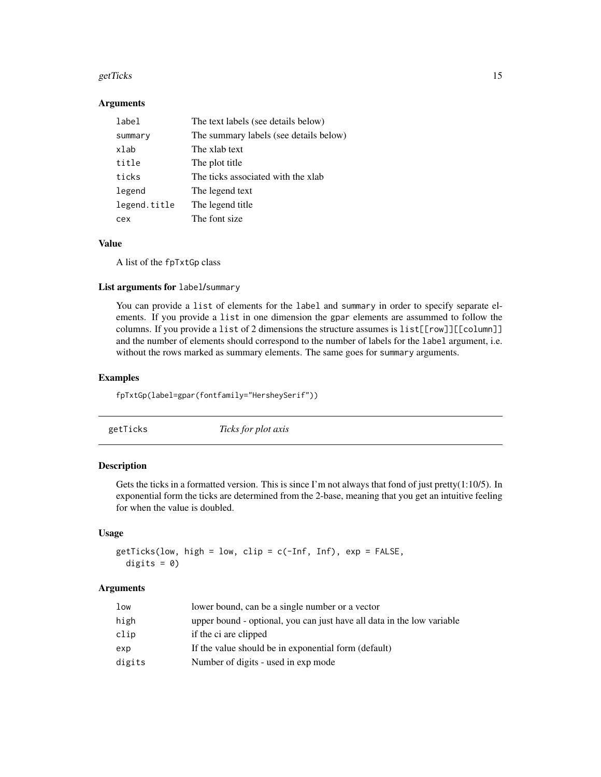#### <span id="page-14-0"></span>getTicks  $\sim$  15

# **Arguments**

| label        | The text labels (see details below)    |
|--------------|----------------------------------------|
| summary      | The summary labels (see details below) |
| xlab         | The xlab text                          |
| title        | The plot title                         |
| ticks        | The ticks associated with the xlab     |
| legend       | The legend text                        |
| legend.title | The legend title                       |
| cex          | The font size                          |

# Value

A list of the fpTxtGp class

# List arguments for label/summary

You can provide a list of elements for the label and summary in order to specify separate elements. If you provide a list in one dimension the gpar elements are assummed to follow the columns. If you provide a list of 2 dimensions the structure assumes is list[[row]][[column]] and the number of elements should correspond to the number of labels for the label argument, i.e. without the rows marked as summary elements. The same goes for summary arguments.

# Examples

fpTxtGp(label=gpar(fontfamily="HersheySerif"))

<span id="page-14-1"></span>

# Description

Gets the ticks in a formatted version. This is since I'm not always that fond of just pretty(1:10/5). In exponential form the ticks are determined from the 2-base, meaning that you get an intuitive feeling for when the value is doubled.

# Usage

```
getTicks(low, high = low, clip = c(-Inf, Inf), exp = FALSE,digits = 0)
```
# Arguments

| low    | lower bound, can be a single number or a vector                        |
|--------|------------------------------------------------------------------------|
| high   | upper bound - optional, you can just have all data in the low variable |
| clip   | if the ci are clipped                                                  |
| exp    | If the value should be in exponential form (default)                   |
| digits | Number of digits - used in exp mode                                    |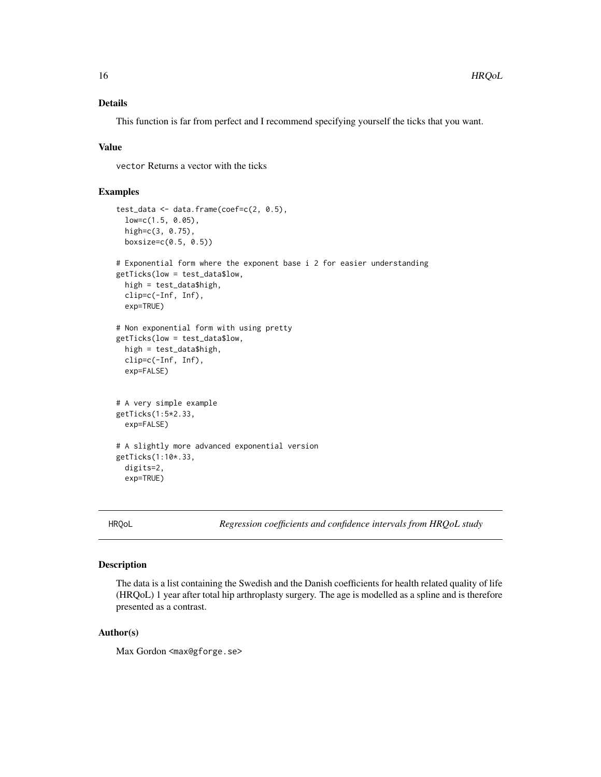# <span id="page-15-0"></span>Details

This function is far from perfect and I recommend specifying yourself the ticks that you want.

# Value

vector Returns a vector with the ticks

# Examples

```
test_data <- data.frame(coef=c(2, 0.5),
 low=c(1.5, 0.05),
 high=c(3, 0.75),
 boxsize=c(0.5, 0.5))
# Exponential form where the exponent base i 2 for easier understanding
getTicks(low = test_data$low,
 high = test_data$high,
 clip=c(-Inf, Inf),
 exp=TRUE)
# Non exponential form with using pretty
getTicks(low = test_data$low,
 high = test_data$high,
 clip=c(-Inf, Inf),
 exp=FALSE)
# A very simple example
getTicks(1:5*2.33,
 exp=FALSE)
# A slightly more advanced exponential version
getTicks(1:10*.33,
 digits=2,
 exp=TRUE)
```
HRQoL *Regression coefficients and confidence intervals from HRQoL study*

# Description

The data is a list containing the Swedish and the Danish coefficients for health related quality of life (HRQoL) 1 year after total hip arthroplasty surgery. The age is modelled as a spline and is therefore presented as a contrast.

# Author(s)

Max Gordon <max@gforge.se>